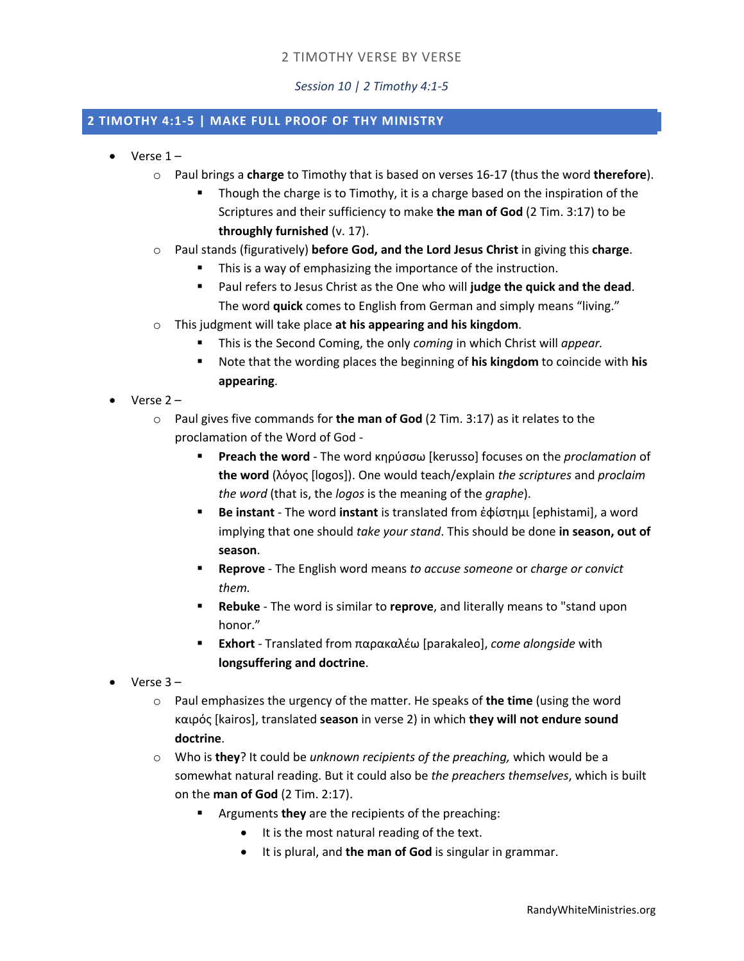## 2 TIMOTHY VERSE BY VERSE

*Session 10 | 2 Timothy 4:1-5*

## **2 TIMOTHY 4:1-5 | MAKE FULL PROOF OF THY MINISTRY**

- Verse 1
	- o Paul brings a **charge** to Timothy that is based on verses 16-17 (thus the word **therefore**).
		- **•** Though the charge is to Timothy, it is a charge based on the inspiration of the Scriptures and their sufficiency to make **the man of God** (2 Tim. 3:17) to be **throughly furnished** (v. 17).
	- o Paul stands (figuratively) **before God, and the Lord Jesus Christ** in giving this **charge**.
		- This is a way of emphasizing the importance of the instruction.
		- Paul refers to Jesus Christ as the One who will judge the quick and the dead. The word **quick** comes to English from German and simply means "living."
	- o This judgment will take place **at his appearing and his kingdom**.
		- § This is the Second Coming, the only *coming* in which Christ will *appear.*
		- § Note that the wording places the beginning of **his kingdom** to coincide with **his appearing**.
- Verse 2
	- o Paul gives five commands for **the man of God** (2 Tim. 3:17) as it relates to the proclamation of the Word of God -
		- § **Preach the word** The word κηρύσσω [kerusso] focuses on the *proclamation* of **the word** (λόγος [logos]). One would teach/explain *the scriptures* and *proclaim the word* (that is, the *logos* is the meaning of the *graphe*).
		- § **Be instant** The word **instant** is translated from ἐφίστημι [ephistami], a word implying that one should *take your stand*. This should be done **in season, out of season**.
		- § **Reprove** The English word means *to accuse someone* or *charge or convict them.*
		- § **Rebuke** The word is similar to **reprove**, and literally means to "stand upon honor."
		- § **Exhort** Translated from παρακαλέω [parakaleo], *come alongside* with **longsuffering and doctrine**.
- Verse 3
	- o Paul emphasizes the urgency of the matter. He speaks of **the time** (using the word καιρός [kairos], translated **season** in verse 2) in which **they will not endure sound doctrine**.
	- o Who is **they**? It could be *unknown recipients of the preaching,* which would be a somewhat natural reading. But it could also be *the preachers themselves*, which is built on the **man of God** (2 Tim. 2:17).
		- § Arguments **they** are the recipients of the preaching:
			- It is the most natural reading of the text.
			- It is plural, and **the man of God** is singular in grammar.